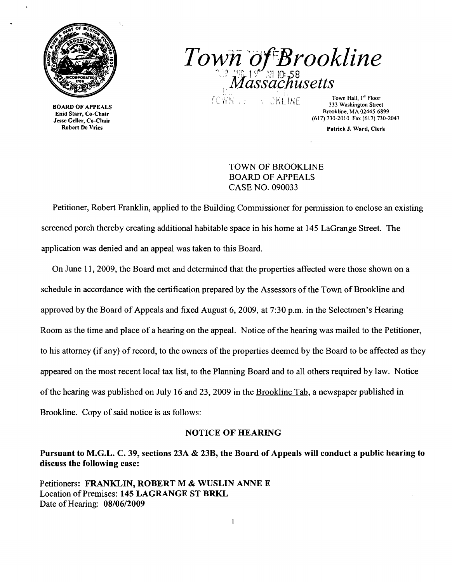

 $T$ *own of Brookline ','Massacnusetts*  \_...

 $T$  Floor FAPPEALS  $T = \frac{1}{2}$   $\frac{1}{2}$   $\frac{1}{2}$   $\frac{1}{2}$   $\frac{1}{2}$   $\frac{1}{2}$  Town Hall,  $1^{\text{st}}$  Floor  $1$  and  $1^{\text{st}}$  Floor  $1$  and  $1^{\text{st}}$  and  $1^{\text{st}}$  and  $1^{\text{st}}$  and  $1^{\text{st}}$  and  $1^{\text{st}}$  and  $1^{\text{st}}$  a Brookline, MA 02445-6899 Enid Starr, Co-Chair (617)730-2010 Fax (617) 730-2043 Jesse Geller, Co-Chair

Robert De Vries **Patrick J, Ward, Clerk** Clerk J, Ward, Clerk Patrick J, Ward, Clerk

TOWN OF BROOKLINE BOARD OF APPEALS CASE NO. 090033

Petitioner, Robert Franklin, applied to the Building Commissioner for permission to enclose an existing screened porch thereby creating additional habitable space in his home at 145 LaGrange Street. The application was denied and an appeal was taken to this Board.

On June 11,2009, the Board met and determined that the properties affected were those shown on a schedule in accordance with the certification prepared by the Assessors of the Town of Brookline and approved by the Board of Appeals and fixed August 6,2009, at 7:30 p.m. in the Selectmen's Hearing Room as the time and place of a hearing on the appeal. Notice of the hearing was mailed to the Petitioner, to his attorney (if any) of record, to the owners of the properties deemed by the Board to be affected as they appeared on the most recent local tax list, to the Planning Board and to all others required by law. Notice of the hearing was published on July 16 and 23, 2009 in the Brookline Tab, a newspaper published in Brookline. Copy of said notice is as follows:

## NOTICE OF HEARING

Pursuant to M.G.L. C. 39, sections 23A & 23B, the Board of Appeals will conduct a public hearing to discuss the following case:

Petitioners: FRANKLIN, ROBERT M & WUSLIN ANNE E Location of Premises: 145 LAGRANGE ST BRKL Date of Hearing: 08/06/2009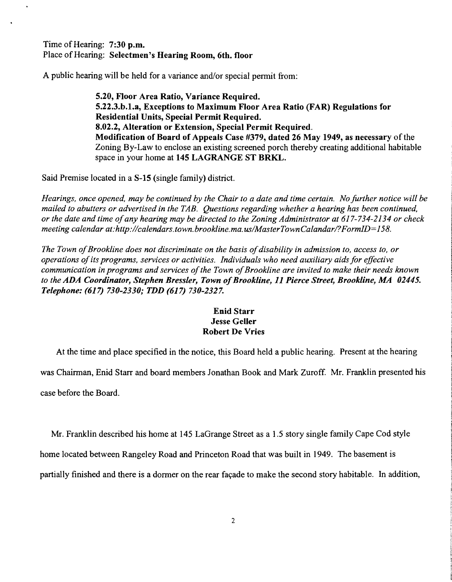Time of Hearing: 7:30 p.m. Place of Hearing: Selectmen's Hearing Room, 6th. floor

A public hearing will be held for a variance and/or special permit from:

5.20, Floor Area Ratio, Variance Required. 5.22.3.b.l.a, Exceptions to Maximum Floor Area Ratio (FAR) Regulations for Residential Units, Special Permit Required. 8.02.2, Alteration or Extension, Special Permit Required. Modification of Board of Appeals Case #379, dated 26 May 1949, as necessary of the Zoning By-Law to enclose an existing screened porch thereby creating additional habitable space in your home at 145 LAGRANGE ST BRKL.

Said Premise located in a S-15 (single family) district.

*Hearings, once opened, may be continued by the Chair to a date and time certain. No further notice will be mailed to abutters or advertised in the TAB. Questions regarding whether a hearing has been continued, or the date and time ofany hearing may be directed to the Zoning Administrator at* 617-734-2134 *or check meeting calendar at:http://calendars.town.brookline.ma.usIMasterTownCalandarl?FormID=158.* 

The Town of Brookline does not discriminate on the basis of disability in admission to, access to, or *operations ofits programs, services or activities. Individuals who need auxiliary aidsfor effective*  communication in programs and services of the Town of Brookline are invited to make their needs known to the ADA Coordinator, Stephen Bressler, Town of Brookline, 11 Pierce Street, Brookline, MA 02445. *Telephone:* (617) *730-2330; TDD* (617) *730-2327.* 

## Enid Starr Jesse Geller Robert De Vries

At the time and place specified in the notice, this Board held a public hearing. Present at the hearing

was Chairman, Enid Starr and board members Jonathan Book and Mark Zuroff. Mr. Franklin presented his case before the Board.

Mr. Franklin described his home at 145 LaGrange Street as a 1.5 story single family Cape Cod style

home located between Rangeley Road and Princeton Road that was built in 1949. The basement is

partially finished and there is a dormer on the rear facade to make the second story habitable. In addition,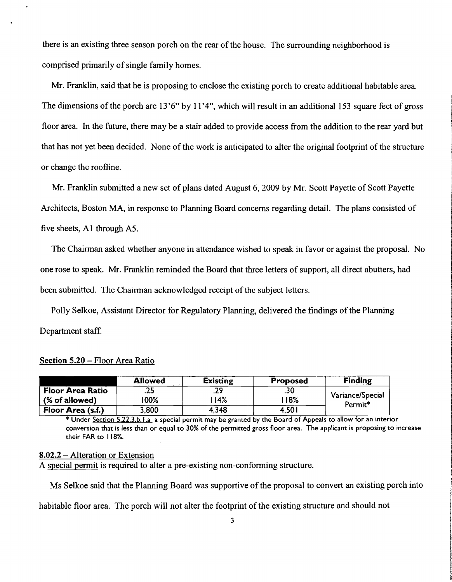there is an existing three season porch on the rear of the house. The surrounding neighborhood is comprised primarily of single family homes.

Mr. Franklin, said that he is proposing to enclose the existing porch to create additional habitable area. The dimensions of the porch are 13'6" by 11'4", which will result in an additional 153 square feet of gross floor area. In the future, there may be a stair added to provide access from the addition to the rear yard but that has not yet been decided. None of the work is anticipated to alter the original footprint of the structure or change the roofline.

Mr. Franklin submitted a new set of plans dated August 6, 2009 by Mr. Scott Payette of Scott Payette Architects, Boston MA, in response to Planning Board concerns regarding detail. The plans consisted of five sheets, Al through AS.

The Chairman asked whether anyone in attendance wished to speak in favor or against the proposal. No one rose to speak. Mr. Franklin reminded the Board that three letters of support, all direct abutters, had been submitted. The Chairman acknowledged receipt of the subject letters.

Polly Se1koe, Assistant Director for Regulatory Planning, delivered the findings ofthe Planning Department staff.

4,348

|                         | <b>Allowed</b> | <b>Existing</b> | <b>Proposed</b> |
|-------------------------|----------------|-----------------|-----------------|
| <b>Floor Area Ratio</b> | . 43           |                 | .30             |
| (% of allowed)          | 00%            | 14%             | <b>18%</b>      |

Section 5.20 - Floor Area Ratio

**Floor Area** (s.f.)

\* Under Section 5.22.3.b.l.a a special permit may be granted by the Board of Appeals to allow for an interior conversion that is less than or equal to 30% of the permitted gross floor area. The applicant is proposing to increase their FAR to 118%.

4,501

**Finding** 

Variance/Special Permit\*

## 8.02.2 - Alteration or Extension

A special permit is required to alter a pre-existing non-conforming structure.

3,800

Ms Selkoe said that the Planning Board was supportive of the proposal to convert an existing porch into

habitable floor area. The porch will not alter the footprint of the existing structure and should not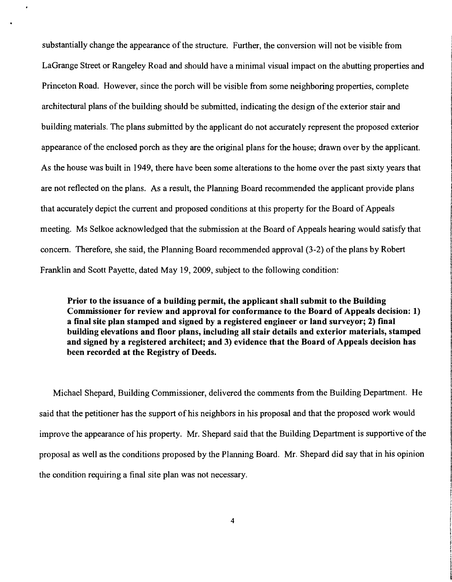substantially change the appearance of the structure. Further, the conversion will not be visible from LaGrange Street or Rangeley Road and should have a minimal visual impact on the abutting properties and Princeton Road. However, since the porch will be visible from some neighboring properties, complete architectural plans of the building should be submitted, indicating the design of the exterior stair and building materials. The plans submitted by the applicant do not accurately represent the proposed exterior appearance of the enclosed porch as they are the original plans for the house; drawn over by the applicant. As the house was built in 1949, there have been some alterations to the home over the past sixty years that are not reflected on the plans. As a result, the Planning Board recommended the applicant provide plans that accurately depict the current and proposed conditions at this property for the Board of Appeals meeting. Ms Selkoe acknowledged that the submission at the Board of Appeals hearing would satisfy that concern. Therefore, she said, the Planning Board recommended approval  $(3-2)$  of the plans by Robert Franklin and Scott Payette, dated May 19,2009, subject to the following condition:

Prior to the issuance of a building permit, the applicant shall submit to the Building Commissioner for review and approval for conformance to the Board of Appeals decision: 1) a final site plan stamped and signed by a registered engineer or land surveyor; 2) final building elevations and floor plans, including all stair details and exterior materials, stamped and signed by a registered architect; and 3) evidence that the Board of Appeals decision has been recorded at the Registry of Deeds.

Michael Shepard, Building Commissioner, delivered the comments from the Building Department. He said that the petitioner has the support of his neighbors in his proposal and that the proposed work would improve the appearance of his property. Mr. Shepard said that the Building Department is supportive of the proposal as well as the conditions proposed by the Planning Board. Mr. Shepard did say that in his opinion the condition requiring a final site plan was not necessary.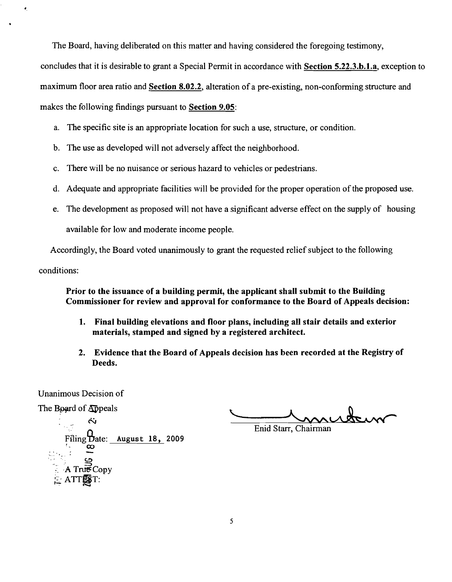The Board, having deliberated on this matter and having considered the foregoing testimony,

concludes that it is desirable to grant a Special Permit in accordance with Section 5.22.3.b.1.a, exception to

maximum floor area ratio and Section 8.02.2, alteration of a pre-existing, non-conforming structure and

makes the following findings pursuant to Section 9.05:

- a. The specific site is an appropriate location for such a use, structure, or condition.
- b. The use as developed will not adversely affect the neighborhood.
- c. There will be no nuisance or serious hazard to vehicles or pedestrians.
- d. Adequate and appropriate facilities will be provided for the proper operation of the proposed use.
- e. The development as proposed will not have a significant adverse effect on the supply of housing available for low and moderate income people.

Accordingly, the Board voted unanimously to grant the requested relief subject to the following

conditions:

'.

Prior to the issuance of a building permit, the applicant shall submit to the Building Commissioner for review and approval for conformance to the Board of Appeals decision:

- 1. Final building elevations and floor plans, including all stair details and exterior materials, stamped and signed by a registered architect.
- 2. Evidence that the Board of Appeals decision has been recorded at the Registry of Deeds.

Unanimous Decision of

The Board of Appeals

muteur

Enid Starr, Chairman

Appeals<br>
Si Filing Date:  $\frac{\text{August } 18, 2009}{\infty}$ ..... -- .~. .. , , ' C-!:)  $\mathbb{S}_{\mathbb{Z}}$  $\therefore$  A True Copy  $>$  ATTEST